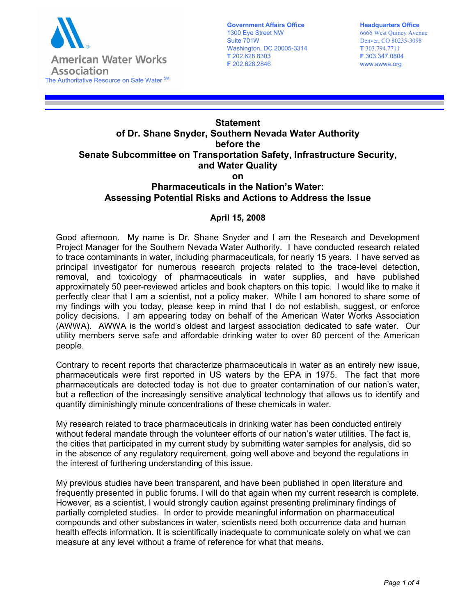

**Government Affairs Office** 1300 Eye Street NW Suite 701W Washington, DC 20005-3314 **T** 202.628.8303 **F** 202.628.2846

## **Statement of Dr. Shane Snyder, Southern Nevada Water Authority before the Senate Subcommittee on Transportation Safety, Infrastructure Security, and Water Quality on**

## **Pharmaceuticals in the Nation's Water: Assessing Potential Risks and Actions to Address the Issue**

## **April 15, 2008**

Good afternoon. My name is Dr. Shane Snyder and I am the Research and Development Project Manager for the Southern Nevada Water Authority. I have conducted research related to trace contaminants in water, including pharmaceuticals, for nearly 15 years. I have served as principal investigator for numerous research projects related to the trace-level detection, removal, and toxicology of pharmaceuticals in water supplies, and have published approximately 50 peer-reviewed articles and book chapters on this topic. I would like to make it perfectly clear that I am a scientist, not a policy maker. While I am honored to share some of my findings with you today, please keep in mind that I do not establish, suggest, or enforce policy decisions. I am appearing today on behalf of the American Water Works Association (AWWA). AWWA is the world's oldest and largest association dedicated to safe water. Our utility members serve safe and affordable drinking water to over 80 percent of the American people.

Contrary to recent reports that characterize pharmaceuticals in water as an entirely new issue, pharmaceuticals were first reported in US waters by the EPA in 1975. The fact that more pharmaceuticals are detected today is not due to greater contamination of our nation's water, but a reflection of the increasingly sensitive analytical technology that allows us to identify and quantify diminishingly minute concentrations of these chemicals in water.

My research related to trace pharmaceuticals in drinking water has been conducted entirely without federal mandate through the volunteer efforts of our nation's water utilities. The fact is, the cities that participated in my current study by submitting water samples for analysis, did so in the absence of any regulatory requirement, going well above and beyond the regulations in the interest of furthering understanding of this issue.

My previous studies have been transparent, and have been published in open literature and frequently presented in public forums. I will do that again when my current research is complete. However, as a scientist, I would strongly caution against presenting preliminary findings of partially completed studies. In order to provide meaningful information on pharmaceutical compounds and other substances in water, scientists need both occurrence data and human health effects information. It is scientifically inadequate to communicate solely on what we can measure at any level without a frame of reference for what that means.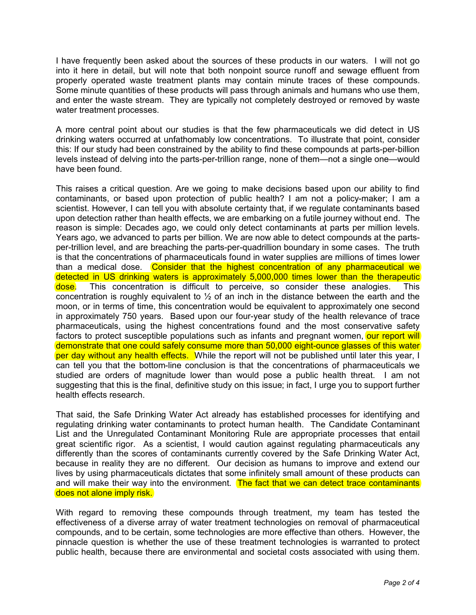I have frequently been asked about the sources of these products in our waters. I will not go into it here in detail, but will note that both nonpoint source runoff and sewage effluent from properly operated waste treatment plants may contain minute traces of these compounds. Some minute quantities of these products will pass through animals and humans who use them, and enter the waste stream. They are typically not completely destroyed or removed by waste water treatment processes.

A more central point about our studies is that the few pharmaceuticals we did detect in US drinking waters occurred at unfathomably low concentrations. To illustrate that point, consider this: If our study had been constrained by the ability to find these compounds at parts-per-billion levels instead of delving into the parts-per-trillion range, none of them—not a single one—would have been found.

This raises a critical question. Are we going to make decisions based upon our ability to find contaminants, or based upon protection of public health? I am not a policy-maker; I am a scientist. However, I can tell you with absolute certainty that, if we regulate contaminants based upon detection rather than health effects, we are embarking on a futile journey without end. The reason is simple: Decades ago, we could only detect contaminants at parts per million levels. Years ago, we advanced to parts per billion. We are now able to detect compounds at the partsper-trillion level, and are breaching the parts-per-quadrillion boundary in some cases. The truth is that the concentrations of pharmaceuticals found in water supplies are millions of times lower than a medical dose. Consider that the highest concentration of any pharmaceutical we detected in US drinking waters is approximately 5,000,000 times lower than the therapeutic dose. This concentration is difficult to perceive, so consider these analogies. This concentration is roughly equivalent to  $\frac{1}{2}$  of an inch in the distance between the earth and the moon, or in terms of time, this concentration would be equivalent to approximately one second in approximately 750 years. Based upon our four-year study of the health relevance of trace pharmaceuticals, using the highest concentrations found and the most conservative safety factors to protect susceptible populations such as infants and pregnant women, our report will demonstrate that one could safely consume more than 50,000 eight-ounce glasses of this water per day without any health effects. While the report will not be published until later this year, I can tell you that the bottom-line conclusion is that the concentrations of pharmaceuticals we studied are orders of magnitude lower than would pose a public health threat. I am not suggesting that this is the final, definitive study on this issue; in fact, I urge you to support further health effects research.

That said, the Safe Drinking Water Act already has established processes for identifying and regulating drinking water contaminants to protect human health. The Candidate Contaminant List and the Unregulated Contaminant Monitoring Rule are appropriate processes that entail great scientific rigor. As a scientist, I would caution against regulating pharmaceuticals any differently than the scores of contaminants currently covered by the Safe Drinking Water Act, because in reality they are no different. Our decision as humans to improve and extend our lives by using pharmaceuticals dictates that some infinitely small amount of these products can and will make their way into the environment. The fact that we can detect trace contaminants does not alone imply risk.

With regard to removing these compounds through treatment, my team has tested the effectiveness of a diverse array of water treatment technologies on removal of pharmaceutical compounds, and to be certain, some technologies are more effective than others. However, the pinnacle question is whether the use of these treatment technologies is warranted to protect public health, because there are environmental and societal costs associated with using them.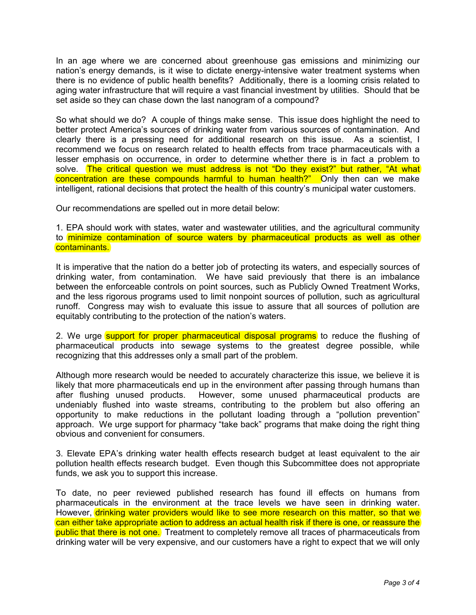In an age where we are concerned about greenhouse gas emissions and minimizing our nation's energy demands, is it wise to dictate energy-intensive water treatment systems when there is no evidence of public health benefits? Additionally, there is a looming crisis related to aging water infrastructure that will require a vast financial investment by utilities. Should that be set aside so they can chase down the last nanogram of a compound?

So what should we do? A couple of things make sense. This issue does highlight the need to better protect America's sources of drinking water from various sources of contamination. And clearly there is a pressing need for additional research on this issue. As a scientist, I recommend we focus on research related to health effects from trace pharmaceuticals with a lesser emphasis on occurrence, in order to determine whether there is in fact a problem to solve. The critical question we must address is not "Do they exist?" but rather, "At what concentration are these compounds harmful to human health?" Only then can we make intelligent, rational decisions that protect the health of this country's municipal water customers.

Our recommendations are spelled out in more detail below:

1. EPA should work with states, water and wastewater utilities, and the agricultural community to minimize contamination of source waters by pharmaceutical products as well as other contaminants.

It is imperative that the nation do a better job of protecting its waters, and especially sources of drinking water, from contamination. We have said previously that there is an imbalance between the enforceable controls on point sources, such as Publicly Owned Treatment Works, and the less rigorous programs used to limit nonpoint sources of pollution, such as agricultural runoff. Congress may wish to evaluate this issue to assure that all sources of pollution are equitably contributing to the protection of the nation's waters.

2. We urge support for proper pharmaceutical disposal programs to reduce the flushing of pharmaceutical products into sewage systems to the greatest degree possible, while recognizing that this addresses only a small part of the problem.

Although more research would be needed to accurately characterize this issue, we believe it is likely that more pharmaceuticals end up in the environment after passing through humans than after flushing unused products. However, some unused pharmaceutical products are undeniably flushed into waste streams, contributing to the problem but also offering an opportunity to make reductions in the pollutant loading through a "pollution prevention" approach. We urge support for pharmacy "take back" programs that make doing the right thing obvious and convenient for consumers.

3. Elevate EPA's drinking water health effects research budget at least equivalent to the air pollution health effects research budget. Even though this Subcommittee does not appropriate funds, we ask you to support this increase.

To date, no peer reviewed published research has found ill effects on humans from pharmaceuticals in the environment at the trace levels we have seen in drinking water. However, drinking water providers would like to see more research on this matter, so that we can either take appropriate action to address an actual health risk if there is one, or reassure the public that there is not one. Treatment to completely remove all traces of pharmaceuticals from drinking water will be very expensive, and our customers have a right to expect that we will only